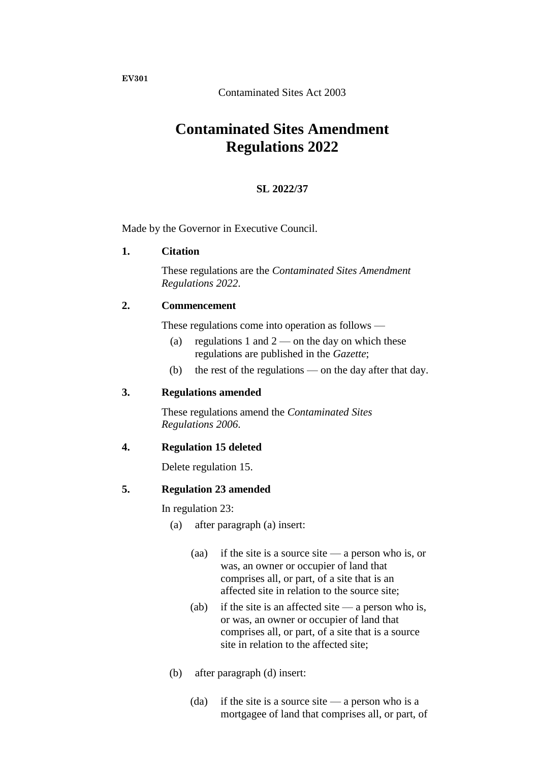**EV301**

Contaminated Sites Act 2003

# **Contaminated Sites Amendment Regulations 2022**

### **SL 2022/37**

Made by the Governor in Executive Council.

#### **1. Citation**

These regulations are the *Contaminated Sites Amendment Regulations 2022*.

### **2. Commencement**

These regulations come into operation as follows —

- (a) regulations 1 and  $2$  on the day on which these regulations are published in the *Gazette*;
- (b) the rest of the regulations on the day after that day.

### **3. Regulations amended**

These regulations amend the *Contaminated Sites Regulations 2006*.

### **4. Regulation 15 deleted**

Delete regulation 15.

### **5. Regulation 23 amended**

In regulation 23:

- (a) after paragraph (a) insert:
	- (aa) if the site is a source site a person who is, or was, an owner or occupier of land that comprises all, or part, of a site that is an affected site in relation to the source site;
	- (ab) if the site is an affected site  $-$  a person who is, or was, an owner or occupier of land that comprises all, or part, of a site that is a source site in relation to the affected site;
- (b) after paragraph (d) insert:
	- (da) if the site is a source site a person who is a mortgagee of land that comprises all, or part, of